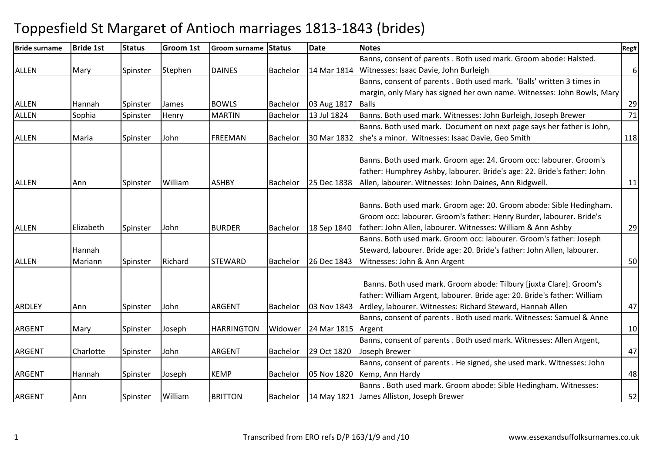| <b>Bride surname</b> | <b>Bride 1st</b>  | <b>Status</b> | <b>Groom 1st</b> | <b>Groom surname</b> | <b>Status</b>   | Date        | <b>Notes</b>                                                                                                                                                                                                 | Reg#             |
|----------------------|-------------------|---------------|------------------|----------------------|-----------------|-------------|--------------------------------------------------------------------------------------------------------------------------------------------------------------------------------------------------------------|------------------|
|                      |                   |               |                  |                      |                 |             | Banns, consent of parents . Both used mark. Groom abode: Halsted.                                                                                                                                            |                  |
| <b>ALLEN</b>         | Mary              | Spinster      | Stephen          | <b>DAINES</b>        | Bachelor        | 14 Mar 1814 | Witnesses: Isaac Davie, John Burleigh                                                                                                                                                                        | $\boldsymbol{6}$ |
|                      |                   |               |                  |                      |                 |             | Banns, consent of parents . Both used mark. 'Balls' written 3 times in                                                                                                                                       |                  |
|                      |                   |               |                  |                      |                 |             | margin, only Mary has signed her own name. Witnesses: John Bowls, Mary                                                                                                                                       |                  |
| <b>ALLEN</b>         | Hannah            | Spinster      | James            | <b>BOWLS</b>         | Bachelor        | 03 Aug 1817 | <b>Balls</b>                                                                                                                                                                                                 | 29               |
| <b>ALLEN</b>         | Sophia            | Spinster      | Henry            | <b>MARTIN</b>        | Bachelor        | 13 Jul 1824 | Banns. Both used mark. Witnesses: John Burleigh, Joseph Brewer                                                                                                                                               | 71               |
|                      |                   |               |                  |                      |                 |             | Banns. Both used mark. Document on next page says her father is John,                                                                                                                                        |                  |
| <b>ALLEN</b>         | Maria             | Spinster      | John             | <b>FREEMAN</b>       | Bachelor        | 30 Mar 1832 | she's a minor. Witnesses: Isaac Davie, Geo Smith                                                                                                                                                             | 118              |
|                      |                   |               |                  |                      |                 |             | Banns. Both used mark. Groom age: 24. Groom occ: labourer. Groom's<br>father: Humphrey Ashby, labourer. Bride's age: 22. Bride's father: John                                                                |                  |
| <b>ALLEN</b>         | Ann               | Spinster      | William          | <b>ASHBY</b>         | Bachelor        | 25 Dec 1838 | Allen, labourer. Witnesses: John Daines, Ann Ridgwell.                                                                                                                                                       | 11               |
| <b>ALLEN</b>         | Elizabeth         | Spinster      | John             | <b>BURDER</b>        | Bachelor        | 18 Sep 1840 | Banns. Both used mark. Groom age: 20. Groom abode: Sible Hedingham.<br>Groom occ: labourer. Groom's father: Henry Burder, labourer. Bride's<br>father: John Allen, labourer. Witnesses: William & Ann Ashby  | 29               |
| <b>ALLEN</b>         | Hannah<br>Mariann |               | Richard          | <b>STEWARD</b>       | Bachelor        | 26 Dec 1843 | Banns. Both used mark. Groom occ: labourer. Groom's father: Joseph<br>Steward, labourer. Bride age: 20. Bride's father: John Allen, labourer.                                                                |                  |
|                      |                   | Spinster      |                  |                      |                 |             | Witnesses: John & Ann Argent                                                                                                                                                                                 | 50               |
| <b>ARDLEY</b>        | Ann               | Spinster      | John             | <b>ARGENT</b>        | <b>Bachelor</b> | 03 Nov 1843 | Banns. Both used mark. Groom abode: Tilbury [juxta Clare]. Groom's<br>father: William Argent, labourer. Bride age: 20. Bride's father: William<br>Ardley, labourer. Witnesses: Richard Steward, Hannah Allen | 47               |
| <b>ARGENT</b>        | Mary              | Spinster      | Joseph           | <b>HARRINGTON</b>    | Widower         | 24 Mar 1815 | Banns, consent of parents . Both used mark. Witnesses: Samuel & Anne<br>Argent                                                                                                                               | $10\,$           |
|                      |                   |               |                  |                      |                 |             | Banns, consent of parents . Both used mark. Witnesses: Allen Argent,                                                                                                                                         |                  |
| <b>ARGENT</b>        | Charlotte         | Spinster      | John             | <b>ARGENT</b>        | <b>Bachelor</b> | 29 Oct 1820 | Joseph Brewer                                                                                                                                                                                                | 47               |
|                      |                   |               |                  |                      |                 |             | Banns, consent of parents . He signed, she used mark. Witnesses: John                                                                                                                                        |                  |
| <b>ARGENT</b>        | Hannah            | Spinster      | Joseph           | <b>KEMP</b>          | Bachelor        | 05 Nov 1820 | Kemp, Ann Hardy                                                                                                                                                                                              | 48               |
| <b>ARGENT</b>        | Ann               | Spinster      | William          | <b>BRITTON</b>       | Bachelor        |             | Banns. Both used mark. Groom abode: Sible Hedingham. Witnesses:<br>14 May 1821 James Alliston, Joseph Brewer                                                                                                 | 52               |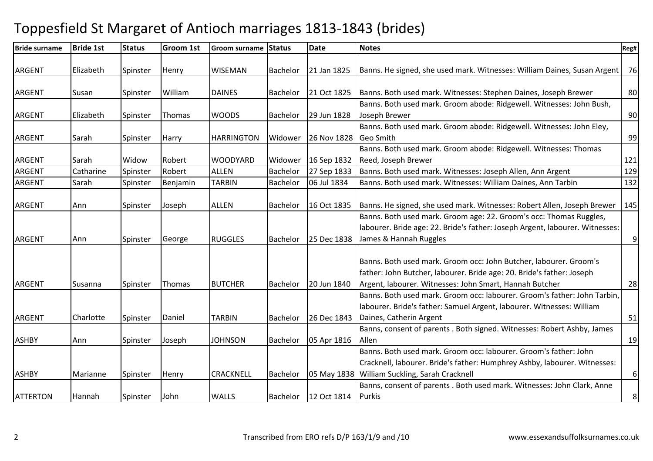| <b>Bride surname</b> | <b>Bride 1st</b> | <b>Status</b>   | <b>Groom 1st</b> | <b>Groom surname</b> | <b>Status</b>   | <b>Date</b> | <b>Notes</b>                                                                 | Reg#           |
|----------------------|------------------|-----------------|------------------|----------------------|-----------------|-------------|------------------------------------------------------------------------------|----------------|
| <b>ARGENT</b>        | Elizabeth        | Spinster        | Henry            | <b>WISEMAN</b>       | Bachelor        | 21 Jan 1825 | Banns. He signed, she used mark. Witnesses: William Daines, Susan Argent     | 76             |
|                      |                  |                 |                  |                      |                 |             |                                                                              |                |
| <b>ARGENT</b>        | Susan            | Spinster        | William          | <b>DAINES</b>        | Bachelor        | 21 Oct 1825 | Banns. Both used mark. Witnesses: Stephen Daines, Joseph Brewer              | 80             |
|                      |                  |                 |                  |                      |                 |             | Banns. Both used mark. Groom abode: Ridgewell. Witnesses: John Bush,         |                |
| <b>ARGENT</b>        | Elizabeth        | Spinster        | Thomas           | <b>WOODS</b>         | Bachelor        | 29 Jun 1828 | Joseph Brewer                                                                | 90             |
|                      |                  |                 |                  |                      |                 |             | Banns. Both used mark. Groom abode: Ridgewell. Witnesses: John Eley,         |                |
| <b>ARGENT</b>        | Sarah            | Spinster        | Harry            | <b>HARRINGTON</b>    | Widower         | 26 Nov 1828 | <b>Geo Smith</b>                                                             | 99             |
|                      |                  |                 |                  |                      |                 |             | Banns. Both used mark. Groom abode: Ridgewell. Witnesses: Thomas             |                |
| <b>ARGENT</b>        | Sarah            | Widow           | Robert           | <b>WOODYARD</b>      | Widower         | 16 Sep 1832 | Reed, Joseph Brewer                                                          | 121            |
| <b>ARGENT</b>        | Catharine        | Spinster        | Robert           | <b>ALLEN</b>         | Bachelor        | 27 Sep 1833 | Banns. Both used mark. Witnesses: Joseph Allen, Ann Argent                   | 129            |
| <b>ARGENT</b>        | Sarah            | Spinster        | Benjamin         | <b>TARBIN</b>        | Bachelor        | 06 Jul 1834 | Banns. Both used mark. Witnesses: William Daines, Ann Tarbin                 | 132            |
|                      |                  |                 |                  |                      |                 |             |                                                                              |                |
| <b>ARGENT</b>        | Ann              | Spinster        | Joseph           | <b>ALLEN</b>         | Bachelor        | 16 Oct 1835 | Banns. He signed, she used mark. Witnesses: Robert Allen, Joseph Brewer      | 145            |
|                      |                  |                 |                  |                      |                 |             | Banns. Both used mark. Groom age: 22. Groom's occ: Thomas Ruggles,           |                |
|                      |                  |                 |                  |                      |                 |             | labourer. Bride age: 22. Bride's father: Joseph Argent, labourer. Witnesses: |                |
| <b>ARGENT</b>        | Ann              | Spinster        | George           | <b>RUGGLES</b>       | Bachelor        | 25 Dec 1838 | James & Hannah Ruggles                                                       | 9              |
|                      |                  |                 |                  |                      |                 |             |                                                                              |                |
|                      |                  |                 |                  |                      |                 |             | Banns. Both used mark. Groom occ: John Butcher, labourer. Groom's            |                |
|                      |                  |                 |                  |                      |                 |             | father: John Butcher, labourer. Bride age: 20. Bride's father: Joseph        |                |
| <b>ARGENT</b>        | Susanna          | <b>Spinster</b> | Thomas           | <b>BUTCHER</b>       | <b>Bachelor</b> | 20 Jun 1840 | Argent, labourer. Witnesses: John Smart, Hannah Butcher                      | 28             |
|                      |                  |                 |                  |                      |                 |             | Banns. Both used mark. Groom occ: labourer. Groom's father: John Tarbin,     |                |
|                      |                  |                 |                  |                      |                 |             | labourer. Bride's father: Samuel Argent, labourer. Witnesses: William        |                |
| <b>ARGENT</b>        | Charlotte        | Spinster        | Daniel           | <b>TARBIN</b>        | Bachelor        | 26 Dec 1843 | Daines, Catherin Argent                                                      | 51             |
|                      |                  |                 |                  |                      |                 |             | Banns, consent of parents . Both signed. Witnesses: Robert Ashby, James      |                |
| <b>ASHBY</b>         | Ann              | Spinster        | Joseph           | <b>JOHNSON</b>       | Bachelor        | 05 Apr 1816 | Allen                                                                        | 19             |
|                      |                  |                 |                  |                      |                 |             | Banns. Both used mark. Groom occ: labourer. Groom's father: John             |                |
|                      |                  |                 |                  |                      |                 |             | Cracknell, labourer. Bride's father: Humphrey Ashby, labourer. Witnesses:    |                |
| <b>ASHBY</b>         | Marianne         | Spinster        | Henry            | <b>CRACKNELL</b>     | Bachelor        |             | 05 May 1838 William Suckling, Sarah Cracknell                                | $6 \mid$       |
|                      |                  |                 |                  |                      |                 |             | Banns, consent of parents . Both used mark. Witnesses: John Clark, Anne      |                |
| <b>ATTERTON</b>      | Hannah           | Spinster        | John             | <b>WALLS</b>         | Bachelor        | 12 Oct 1814 | Purkis                                                                       | 8 <sup>1</sup> |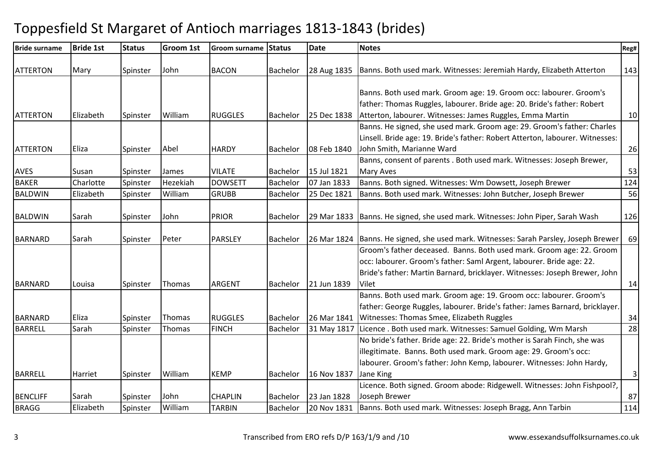| <b>Bride surname</b> | <b>Bride 1st</b> | <b>Status</b> | <b>Groom 1st</b> | <b>Groom surname</b> | <b>Status</b>   | <b>Date</b> | <b>Notes</b>                                                                  | Reg#         |
|----------------------|------------------|---------------|------------------|----------------------|-----------------|-------------|-------------------------------------------------------------------------------|--------------|
| <b>ATTERTON</b>      | Mary             |               | John             | <b>BACON</b>         | Bachelor        |             | Banns. Both used mark. Witnesses: Jeremiah Hardy, Elizabeth Atterton          | 143          |
|                      |                  | Spinster      |                  |                      |                 | 28 Aug 1835 |                                                                               |              |
|                      |                  |               |                  |                      |                 |             | Banns. Both used mark. Groom age: 19. Groom occ: labourer. Groom's            |              |
|                      |                  |               |                  |                      |                 |             | father: Thomas Ruggles, labourer. Bride age: 20. Bride's father: Robert       |              |
| <b>ATTERTON</b>      | Elizabeth        | Spinster      | William          | <b>RUGGLES</b>       | <b>Bachelor</b> | 25 Dec 1838 | Atterton, labourer. Witnesses: James Ruggles, Emma Martin                     | 10           |
|                      |                  |               |                  |                      |                 |             | Banns. He signed, she used mark. Groom age: 29. Groom's father: Charles       |              |
|                      |                  |               |                  |                      |                 |             | Linsell. Bride age: 19. Bride's father: Robert Atterton, labourer. Witnesses: |              |
| <b>ATTERTON</b>      | Eliza            | Spinster      | Abel             | <b>HARDY</b>         | Bachelor        | 08 Feb 1840 | John Smith, Marianne Ward                                                     | 26           |
|                      |                  |               |                  |                      |                 |             | Banns, consent of parents . Both used mark. Witnesses: Joseph Brewer,         |              |
| <b>AVES</b>          | Susan            | Spinster      | James            | <b>VILATE</b>        | Bachelor        | 15 Jul 1821 | <b>Mary Aves</b>                                                              | 53           |
| <b>BAKER</b>         | Charlotte        | Spinster      | Hezekiah         | <b>DOWSETT</b>       | Bachelor        | 07 Jan 1833 | Banns. Both signed. Witnesses: Wm Dowsett, Joseph Brewer                      | 124          |
| <b>BALDWIN</b>       | Elizabeth        | Spinster      | William          | <b>GRUBB</b>         | Bachelor        | 25 Dec 1821 | Banns. Both used mark. Witnesses: John Butcher, Joseph Brewer                 | 56           |
|                      |                  |               |                  |                      |                 |             |                                                                               |              |
| <b>BALDWIN</b>       | Sarah            | Spinster      | John             | <b>PRIOR</b>         | Bachelor        | 29 Mar 1833 | Banns. He signed, she used mark. Witnesses: John Piper, Sarah Wash            | 126          |
|                      |                  |               |                  |                      |                 |             |                                                                               |              |
| <b>BARNARD</b>       | Sarah            | Spinster      | Peter            | <b>PARSLEY</b>       | <b>Bachelor</b> | 26 Mar 1824 | Banns. He signed, she used mark. Witnesses: Sarah Parsley, Joseph Brewer      | 69           |
|                      |                  |               |                  |                      |                 |             | Groom's father deceased. Banns. Both used mark. Groom age: 22. Groom          |              |
|                      |                  |               |                  |                      |                 |             | occ: labourer. Groom's father: Saml Argent, labourer. Bride age: 22.          |              |
|                      |                  |               |                  |                      |                 |             | Bride's father: Martin Barnard, bricklayer. Witnesses: Joseph Brewer, John    |              |
| <b>BARNARD</b>       | Louisa           | Spinster      | Thomas           | <b>ARGENT</b>        | Bachelor        | 21 Jun 1839 | Vilet                                                                         | 14           |
|                      |                  |               |                  |                      |                 |             | Banns. Both used mark. Groom age: 19. Groom occ: labourer. Groom's            |              |
|                      |                  |               |                  |                      |                 |             | father: George Ruggles, labourer. Bride's father: James Barnard, bricklayer.  |              |
| <b>BARNARD</b>       | Eliza            | Spinster      | Thomas           | <b>RUGGLES</b>       | Bachelor        | 26 Mar 1841 | Witnesses: Thomas Smee, Elizabeth Ruggles                                     | 34           |
| <b>BARRELL</b>       | Sarah            | Spinster      | Thomas           | <b>FINCH</b>         | Bachelor        | 31 May 1817 | Licence . Both used mark. Witnesses: Samuel Golding, Wm Marsh                 | 28           |
|                      |                  |               |                  |                      |                 |             | No bride's father. Bride age: 22. Bride's mother is Sarah Finch, she was      |              |
|                      |                  |               |                  |                      |                 |             | illegitimate. Banns. Both used mark. Groom age: 29. Groom's occ:              |              |
|                      |                  |               |                  |                      |                 |             | labourer. Groom's father: John Kemp, labourer. Witnesses: John Hardy,         |              |
| <b>BARRELL</b>       | Harriet          | Spinster      | William          | <b>KEMP</b>          | Bachelor        | 16 Nov 1837 | Jane King                                                                     | $\mathbf{3}$ |
|                      |                  |               |                  |                      |                 |             | Licence. Both signed. Groom abode: Ridgewell. Witnesses: John Fishpool?,      |              |
| <b>BENCLIFF</b>      | Sarah            | Spinster      | John             | <b>CHAPLIN</b>       | Bachelor        | 23 Jan 1828 | Joseph Brewer                                                                 | 87           |
| <b>BRAGG</b>         | Elizabeth        | Spinster      | William          | <b>TARBIN</b>        | <b>Bachelor</b> | 20 Nov 1831 | Banns. Both used mark. Witnesses: Joseph Bragg, Ann Tarbin                    | 114          |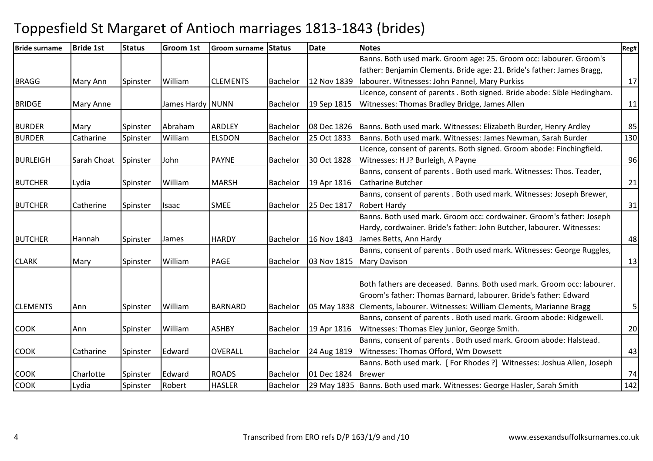| <b>Bride surname</b> | <b>Bride 1st</b> | <b>Status</b> | <b>Groom 1st</b> | <b>Groom surname</b> | <b>Status</b>   | <b>Date</b> | <b>Notes</b>                                                                | Reg#           |
|----------------------|------------------|---------------|------------------|----------------------|-----------------|-------------|-----------------------------------------------------------------------------|----------------|
|                      |                  |               |                  |                      |                 |             | Banns. Both used mark. Groom age: 25. Groom occ: labourer. Groom's          |                |
|                      |                  |               |                  |                      |                 |             | father: Benjamin Clements. Bride age: 21. Bride's father: James Bragg,      |                |
| <b>BRAGG</b>         | Mary Ann         | Spinster      | William          | <b>CLEMENTS</b>      | <b>Bachelor</b> | 12 Nov 1839 | labourer. Witnesses: John Pannel, Mary Purkiss                              | 17             |
|                      |                  |               |                  |                      |                 |             | Licence, consent of parents . Both signed. Bride abode: Sible Hedingham.    |                |
| <b>BRIDGE</b>        | Mary Anne        |               | James Hardy NUNN |                      | Bachelor        | 19 Sep 1815 | Witnesses: Thomas Bradley Bridge, James Allen                               | 11             |
|                      |                  |               |                  |                      |                 |             |                                                                             |                |
| <b>BURDER</b>        | Mary             | Spinster      | Abraham          | <b>ARDLEY</b>        | Bachelor        | 08 Dec 1826 | Banns. Both used mark. Witnesses: Elizabeth Burder, Henry Ardley            | 85             |
| <b>BURDER</b>        | Catharine        | Spinster      | William          | <b>ELSDON</b>        | Bachelor        | 25 Oct 1833 | Banns. Both used mark. Witnesses: James Newman, Sarah Burder                | 130            |
|                      |                  |               |                  |                      |                 |             | Licence, consent of parents. Both signed. Groom abode: Finchingfield.       |                |
| <b>BURLEIGH</b>      | Sarah Choat      | Spinster      | John             | <b>PAYNE</b>         | Bachelor        | 30 Oct 1828 | Witnesses: H J? Burleigh, A Payne                                           | 96             |
|                      |                  |               |                  |                      |                 |             | Banns, consent of parents . Both used mark. Witnesses: Thos. Teader,        |                |
| <b>BUTCHER</b>       | Lydia            | Spinster      | William          | <b>MARSH</b>         | Bachelor        | 19 Apr 1816 | <b>Catharine Butcher</b>                                                    | 21             |
|                      |                  |               |                  |                      |                 |             | Banns, consent of parents . Both used mark. Witnesses: Joseph Brewer,       |                |
| <b>BUTCHER</b>       | Catherine        | Spinster      | <b>Isaac</b>     | <b>SMEE</b>          | Bachelor        | 25 Dec 1817 | <b>Robert Hardy</b>                                                         | 31             |
|                      |                  |               |                  |                      |                 |             | Banns. Both used mark. Groom occ: cordwainer. Groom's father: Joseph        |                |
|                      |                  |               |                  |                      |                 |             | Hardy, cordwainer. Bride's father: John Butcher, labourer. Witnesses:       |                |
| <b>BUTCHER</b>       | Hannah           | Spinster      | James            | <b>HARDY</b>         | Bachelor        | 16 Nov 1843 | James Betts, Ann Hardy                                                      | 48             |
|                      |                  |               |                  |                      |                 |             | Banns, consent of parents . Both used mark. Witnesses: George Ruggles,      |                |
| <b>CLARK</b>         | Mary             | Spinster      | William          | PAGE                 | Bachelor        | 03 Nov 1815 | <b>Mary Davison</b>                                                         | 13             |
|                      |                  |               |                  |                      |                 |             |                                                                             |                |
|                      |                  |               |                  |                      |                 |             | Both fathers are deceased. Banns. Both used mark. Groom occ: labourer.      |                |
|                      |                  |               |                  |                      |                 |             | Groom's father: Thomas Barnard, labourer. Bride's father: Edward            |                |
| <b>CLEMENTS</b>      | Ann              | Spinster      | William          | <b>BARNARD</b>       | Bachelor        |             | 05 May 1838 Clements, labourer. Witnesses: William Clements, Marianne Bragg | 5 <sup>1</sup> |
|                      |                  |               |                  |                      |                 |             | Banns, consent of parents . Both used mark. Groom abode: Ridgewell.         |                |
| <b>COOK</b>          | Ann              | Spinster      | William          | <b>ASHBY</b>         | Bachelor        | 19 Apr 1816 | Witnesses: Thomas Eley junior, George Smith.                                | 20             |
|                      |                  |               |                  |                      |                 |             | Banns, consent of parents . Both used mark. Groom abode: Halstead.          |                |
| <b>COOK</b>          | Catharine        | Spinster      | Edward           | <b>OVERALL</b>       | Bachelor        | 24 Aug 1819 | Witnesses: Thomas Offord, Wm Dowsett                                        | 43             |
|                      |                  |               |                  |                      |                 |             | Banns. Both used mark. [For Rhodes ?] Witnesses: Joshua Allen, Joseph       |                |
| <b>COOK</b>          | Charlotte        | Spinster      | Edward           | <b>ROADS</b>         | Bachelor        | 01 Dec 1824 | <b>Brewer</b>                                                               | 74             |
| <b>COOK</b>          | Lydia            | Spinster      | Robert           | <b>HASLER</b>        | Bachelor        |             | 29 May 1835   Banns. Both used mark. Witnesses: George Hasler, Sarah Smith  | 142            |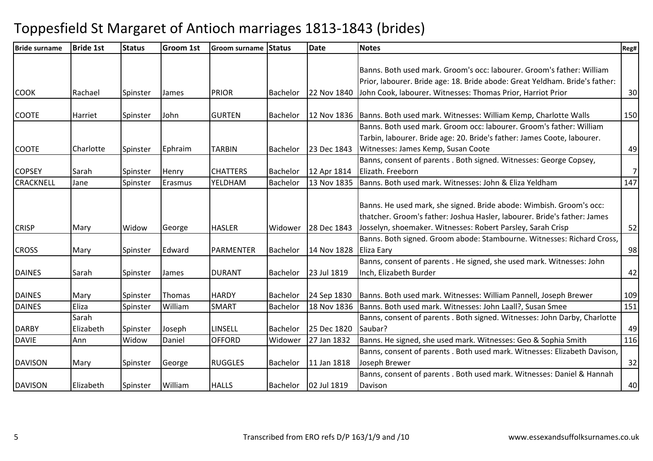| <b>Bride surname</b> | <b>Bride 1st</b> | <b>Status</b> | <b>Groom 1st</b> | <b>Groom surname</b> | <b>Status</b>   | <b>Date</b> | <b>Notes</b>                                                                  | Reg# |
|----------------------|------------------|---------------|------------------|----------------------|-----------------|-------------|-------------------------------------------------------------------------------|------|
|                      |                  |               |                  |                      |                 |             |                                                                               |      |
|                      |                  |               |                  |                      |                 |             | Banns. Both used mark. Groom's occ: labourer. Groom's father: William         |      |
|                      |                  |               |                  |                      |                 |             | Prior, labourer. Bride age: 18. Bride abode: Great Yeldham. Bride's father:   |      |
| <b>COOK</b>          | Rachael          | Spinster      | James            | <b>PRIOR</b>         | Bachelor        | 22 Nov 1840 | John Cook, labourer. Witnesses: Thomas Prior, Harriot Prior                   | 30   |
| <b>COOTE</b>         | Harriet          | Spinster      | John             | <b>GURTEN</b>        | Bachelor        |             | 12 Nov 1836   Banns. Both used mark. Witnesses: William Kemp, Charlotte Walls | 150  |
|                      |                  |               |                  |                      |                 |             | Banns. Both used mark. Groom occ: labourer. Groom's father: William           |      |
|                      |                  |               |                  |                      |                 |             | Tarbin, labourer. Bride age: 20. Bride's father: James Coote, labourer.       |      |
| <b>COOTE</b>         | Charlotte        | Spinster      | Ephraim          | <b>TARBIN</b>        | <b>Bachelor</b> | 23 Dec 1843 | Witnesses: James Kemp, Susan Coote                                            | 49   |
|                      |                  |               |                  |                      |                 |             | Banns, consent of parents . Both signed. Witnesses: George Copsey,            |      |
| <b>COPSEY</b>        | Sarah            | Spinster      | Henry            | <b>CHATTERS</b>      | <b>Bachelor</b> | 12 Apr 1814 | Elizath. Freeborn                                                             | 7    |
| <b>CRACKNELL</b>     | Jane             | Spinster      | Erasmus          | YELDHAM              | <b>Bachelor</b> | 13 Nov 1835 | Banns. Both used mark. Witnesses: John & Eliza Yeldham                        | 147  |
|                      |                  |               |                  |                      |                 |             |                                                                               |      |
|                      |                  |               |                  |                      |                 |             | Banns. He used mark, she signed. Bride abode: Wimbish. Groom's occ:           |      |
|                      |                  |               |                  |                      |                 |             | thatcher. Groom's father: Joshua Hasler, labourer. Bride's father: James      |      |
| <b>CRISP</b>         | Mary             | Widow         | George           | <b>HASLER</b>        | Widower         | 28 Dec 1843 | Josselyn, shoemaker. Witnesses: Robert Parsley, Sarah Crisp                   | 52   |
|                      |                  |               |                  |                      |                 |             | Banns. Both signed. Groom abode: Stambourne. Witnesses: Richard Cross,        |      |
| <b>CROSS</b>         | Mary             | Spinster      | Edward           | <b>PARMENTER</b>     | <b>Bachelor</b> | 14 Nov 1828 | <b>Eliza Eary</b>                                                             | 98   |
|                      |                  |               |                  |                      |                 |             | Banns, consent of parents . He signed, she used mark. Witnesses: John         |      |
| <b>DAINES</b>        | Sarah            | Spinster      | James            | <b>DURANT</b>        | <b>Bachelor</b> | 23 Jul 1819 | Inch, Elizabeth Burder                                                        | 42   |
|                      |                  |               |                  |                      |                 |             |                                                                               |      |
| <b>DAINES</b>        | Mary             | Spinster      | Thomas           | <b>HARDY</b>         | Bachelor        | 24 Sep 1830 | Banns. Both used mark. Witnesses: William Pannell, Joseph Brewer              | 109  |
| <b>DAINES</b>        | Eliza            | Spinster      | William          | <b>SMART</b>         | Bachelor        | 18 Nov 1836 | Banns. Both used mark. Witnesses: John Laall?, Susan Smee                     | 151  |
|                      | Sarah            |               |                  |                      |                 |             | Banns, consent of parents . Both signed. Witnesses: John Darby, Charlotte     |      |
| <b>DARBY</b>         | Elizabeth        | Spinster      | Joseph           | LINSELL              | <b>Bachelor</b> | 25 Dec 1820 | Saubar?                                                                       | 49   |
| <b>DAVIE</b>         | Ann              | Widow         | Daniel           | <b>OFFORD</b>        | Widower         | 27 Jan 1832 | Banns. He signed, she used mark. Witnesses: Geo & Sophia Smith                | 116  |
|                      |                  |               |                  |                      |                 |             | Banns, consent of parents . Both used mark. Witnesses: Elizabeth Davison,     |      |
| <b>DAVISON</b>       | Mary             | Spinster      | George           | <b>RUGGLES</b>       | Bachelor        | 11 Jan 1818 | Joseph Brewer                                                                 | 32   |
|                      |                  |               |                  |                      |                 |             | Banns, consent of parents . Both used mark. Witnesses: Daniel & Hannah        |      |
| <b>DAVISON</b>       | Elizabeth        | Spinster      | William          | <b>HALLS</b>         | Bachelor        | 02 Jul 1819 | Davison                                                                       | 40   |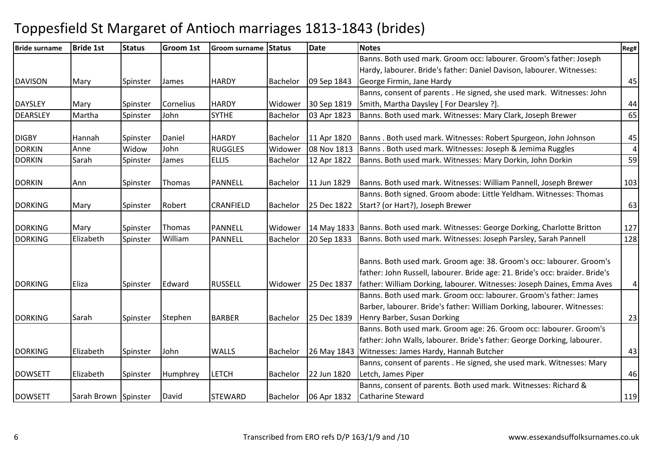| <b>Bride surname</b> | <b>Bride 1st</b>     | <b>Status</b> | <b>Groom 1st</b> | <b>Groom surname</b> | <b>Status</b>   | <b>Date</b> | <b>Notes</b>                                                                                                                                                                                                                   | Reg# |
|----------------------|----------------------|---------------|------------------|----------------------|-----------------|-------------|--------------------------------------------------------------------------------------------------------------------------------------------------------------------------------------------------------------------------------|------|
|                      |                      |               |                  |                      |                 |             | Banns. Both used mark. Groom occ: labourer. Groom's father: Joseph                                                                                                                                                             |      |
|                      |                      |               |                  |                      |                 |             | Hardy, labourer. Bride's father: Daniel Davison, labourer. Witnesses:                                                                                                                                                          |      |
| <b>DAVISON</b>       | Mary                 | Spinster      | <b>James</b>     | <b>HARDY</b>         | <b>Bachelor</b> | 09 Sep 1843 | George Firmin, Jane Hardy                                                                                                                                                                                                      | 45   |
|                      |                      |               |                  |                      |                 |             | Banns, consent of parents . He signed, she used mark. Witnesses: John                                                                                                                                                          |      |
| <b>DAYSLEY</b>       | Mary                 | Spinster      | Cornelius        | <b>HARDY</b>         | Widower         | 30 Sep 1819 | Smith, Martha Daysley [ For Dearsley ?].                                                                                                                                                                                       | 44   |
| <b>DEARSLEY</b>      | Martha               | Spinster      | John             | <b>SYTHE</b>         | Bachelor        | 03 Apr 1823 | Banns. Both used mark. Witnesses: Mary Clark, Joseph Brewer                                                                                                                                                                    | 65   |
| <b>DIGBY</b>         | Hannah               | Spinster      | Daniel           | <b>HARDY</b>         | Bachelor        | 11 Apr 1820 | Banns. Both used mark. Witnesses: Robert Spurgeon, John Johnson                                                                                                                                                                | 45   |
| <b>DORKIN</b>        | Anne                 | Widow         | John             | <b>RUGGLES</b>       | Widower         | 08 Nov 1813 | Banns. Both used mark. Witnesses: Joseph & Jemima Ruggles                                                                                                                                                                      | 4    |
| <b>DORKIN</b>        | Sarah                | Spinster      | James            | <b>ELLIS</b>         | Bachelor        | 12 Apr 1822 | Banns. Both used mark. Witnesses: Mary Dorkin, John Dorkin                                                                                                                                                                     | 59   |
| <b>DORKIN</b>        | Ann                  | Spinster      | Thomas           | <b>PANNELL</b>       | Bachelor        | 11 Jun 1829 | Banns. Both used mark. Witnesses: William Pannell, Joseph Brewer                                                                                                                                                               | 103  |
|                      |                      |               |                  |                      |                 |             | Banns. Both signed. Groom abode: Little Yeldham. Witnesses: Thomas                                                                                                                                                             |      |
| <b>DORKING</b>       | Mary                 | Spinster      | Robert           | <b>CRANFIELD</b>     | Bachelor        | 25 Dec 1822 | Start? (or Hart?), Joseph Brewer                                                                                                                                                                                               | 63   |
| <b>DORKING</b>       | Mary                 | Spinster      | Thomas           | PANNELL              | Widower         |             | 14 May 1833   Banns. Both used mark. Witnesses: George Dorking, Charlotte Britton                                                                                                                                              | 127  |
| <b>DORKING</b>       | Elizabeth            | Spinster      | William          | PANNELL              | Bachelor        | 20 Sep 1833 | Banns. Both used mark. Witnesses: Joseph Parsley, Sarah Pannell                                                                                                                                                                | 128  |
| <b>DORKING</b>       | Eliza                | Spinster      | Edward           | <b>RUSSELL</b>       | Widower         | 25 Dec 1837 | Banns. Both used mark. Groom age: 38. Groom's occ: labourer. Groom's<br>father: John Russell, labourer. Bride age: 21. Bride's occ: braider. Bride's<br>father: William Dorking, labourer. Witnesses: Joseph Daines, Emma Aves | 4    |
|                      |                      |               |                  |                      |                 |             | Banns. Both used mark. Groom occ: labourer. Groom's father: James                                                                                                                                                              |      |
|                      |                      |               |                  |                      |                 |             | Barber, labourer. Bride's father: William Dorking, labourer. Witnesses:                                                                                                                                                        |      |
| <b>DORKING</b>       | Sarah                | Spinster      | Stephen          | <b>BARBER</b>        | <b>Bachelor</b> | 25 Dec 1839 | Henry Barber, Susan Dorking                                                                                                                                                                                                    | 23   |
|                      |                      |               |                  |                      |                 |             | Banns. Both used mark. Groom age: 26. Groom occ: labourer. Groom's                                                                                                                                                             |      |
|                      |                      |               |                  |                      |                 |             | father: John Walls, labourer. Bride's father: George Dorking, labourer.                                                                                                                                                        |      |
| <b>DORKING</b>       | Elizabeth            | Spinster      | John             | <b>WALLS</b>         | Bachelor        |             | 26 May 1843 Witnesses: James Hardy, Hannah Butcher                                                                                                                                                                             | 43   |
|                      |                      |               |                  |                      |                 |             | Banns, consent of parents . He signed, she used mark. Witnesses: Mary                                                                                                                                                          |      |
| <b>DOWSETT</b>       | Elizabeth            | Spinster      | Humphrey         | <b>LETCH</b>         | Bachelor        | 22 Jun 1820 | Letch, James Piper                                                                                                                                                                                                             | 46   |
|                      |                      |               |                  |                      |                 |             | Banns, consent of parents. Both used mark. Witnesses: Richard &                                                                                                                                                                |      |
| <b>DOWSETT</b>       | Sarah Brown Spinster |               | David            | <b>STEWARD</b>       | Bachelor        | 06 Apr 1832 | Catharine Steward                                                                                                                                                                                                              | 119  |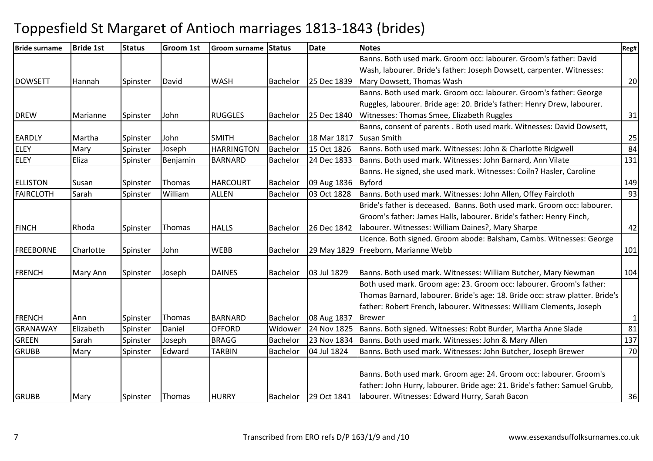| <b>Bride surname</b> | <b>Bride 1st</b> | <b>Status</b> | <b>Groom 1st</b> | Groom surname     | <b>Status</b>   | <b>Date</b> | <b>Notes</b>                                                                 | Reg#         |
|----------------------|------------------|---------------|------------------|-------------------|-----------------|-------------|------------------------------------------------------------------------------|--------------|
|                      |                  |               |                  |                   |                 |             | Banns. Both used mark. Groom occ: labourer. Groom's father: David            |              |
|                      |                  |               |                  |                   |                 |             | Wash, labourer. Bride's father: Joseph Dowsett, carpenter. Witnesses:        |              |
| <b>DOWSETT</b>       | Hannah           | Spinster      | David            | <b>WASH</b>       | <b>Bachelor</b> | 25 Dec 1839 | Mary Dowsett, Thomas Wash                                                    | 20           |
|                      |                  |               |                  |                   |                 |             | Banns. Both used mark. Groom occ: labourer. Groom's father: George           |              |
|                      |                  |               |                  |                   |                 |             | Ruggles, labourer. Bride age: 20. Bride's father: Henry Drew, labourer.      |              |
| <b>DREW</b>          | Marianne         | Spinster      | John             | <b>RUGGLES</b>    | Bachelor        | 25 Dec 1840 | Witnesses: Thomas Smee, Elizabeth Ruggles                                    | 31           |
|                      |                  |               |                  |                   |                 |             | Banns, consent of parents . Both used mark. Witnesses: David Dowsett,        |              |
| <b>EARDLY</b>        | Martha           | Spinster      | John             | <b>SMITH</b>      | Bachelor        | 18 Mar 1817 | <b>Susan Smith</b>                                                           | 25           |
| <b>ELEY</b>          | Mary             | Spinster      | Joseph           | <b>HARRINGTON</b> | Bachelor        | 15 Oct 1826 | Banns. Both used mark. Witnesses: John & Charlotte Ridgwell                  | 84           |
| <b>ELEY</b>          | Eliza            | Spinster      | Benjamin         | <b>BARNARD</b>    | Bachelor        | 24 Dec 1833 | Banns. Both used mark. Witnesses: John Barnard, Ann Vilate                   | 131          |
|                      |                  |               |                  |                   |                 |             | Banns. He signed, she used mark. Witnesses: Coiln? Hasler, Caroline          |              |
| <b>ELLISTON</b>      | Susan            | Spinster      | Thomas           | <b>HARCOURT</b>   | Bachelor        | 09 Aug 1836 | <b>Byford</b>                                                                | 149          |
| FAIRCLOTH            | Sarah            | Spinster      | William          | <b>ALLEN</b>      | Bachelor        | 03 Oct 1828 | Banns. Both used mark. Witnesses: John Allen, Offey Faircloth                | 93           |
|                      |                  |               |                  |                   |                 |             | Bride's father is deceased. Banns. Both used mark. Groom occ: labourer.      |              |
|                      |                  |               |                  |                   |                 |             | Groom's father: James Halls, labourer. Bride's father: Henry Finch,          |              |
| <b>FINCH</b>         | Rhoda            | Spinster      | <b>Thomas</b>    | <b>HALLS</b>      | Bachelor        | 26 Dec 1842 | labourer. Witnesses: William Daines?, Mary Sharpe                            | 42           |
|                      |                  |               |                  |                   |                 |             | Licence. Both signed. Groom abode: Balsham, Cambs. Witnesses: George         |              |
| <b>FREEBORNE</b>     | Charlotte        | Spinster      | John             | <b>WEBB</b>       | Bachelor        |             | 29 May 1829   Freeborn, Marianne Webb                                        | 101          |
|                      |                  |               |                  |                   |                 |             |                                                                              |              |
| <b>FRENCH</b>        | Mary Ann         | Spinster      | Joseph           | <b>DAINES</b>     | Bachelor        | 03 Jul 1829 | Banns. Both used mark. Witnesses: William Butcher, Mary Newman               | 104          |
|                      |                  |               |                  |                   |                 |             | Both used mark. Groom age: 23. Groom occ: labourer. Groom's father:          |              |
|                      |                  |               |                  |                   |                 |             | Thomas Barnard, labourer. Bride's age: 18. Bride occ: straw platter. Bride's |              |
|                      |                  |               |                  |                   |                 |             | father: Robert French, labourer. Witnesses: William Clements, Joseph         |              |
| <b>FRENCH</b>        | Ann              | Spinster      | Thomas           | <b>BARNARD</b>    | Bachelor        | 08 Aug 1837 | <b>Brewer</b>                                                                | $\mathbf{1}$ |
| <b>GRANAWAY</b>      | Elizabeth        | Spinster      | Daniel           | <b>OFFORD</b>     | Widower         | 24 Nov 1825 | Banns. Both signed. Witnesses: Robt Burder, Martha Anne Slade                | 81           |
| <b>GREEN</b>         | Sarah            | Spinster      | Joseph           | <b>BRAGG</b>      | Bachelor        |             | 23 Nov 1834 Banns. Both used mark. Witnesses: John & Mary Allen              | 137          |
| <b>GRUBB</b>         | Mary             | Spinster      | Edward           | <b>TARBIN</b>     | <b>Bachelor</b> | 04 Jul 1824 | Banns. Both used mark. Witnesses: John Butcher, Joseph Brewer                | 70           |
|                      |                  |               |                  |                   |                 |             | Banns. Both used mark. Groom age: 24. Groom occ: labourer. Groom's           |              |
|                      |                  |               |                  |                   |                 |             | father: John Hurry, labourer. Bride age: 21. Bride's father: Samuel Grubb,   |              |
| <b>GRUBB</b>         | Mary             | Spinster      | Thomas           | <b>HURRY</b>      | Bachelor        | 29 Oct 1841 | labourer. Witnesses: Edward Hurry, Sarah Bacon                               | 36           |
|                      |                  |               |                  |                   |                 |             |                                                                              |              |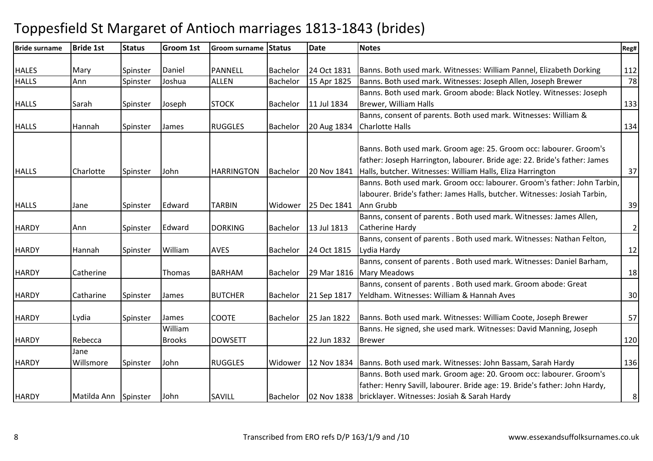| <b>Bride surname</b> | <b>Bride 1st</b>     | <b>Status</b> | <b>Groom 1st</b> | <b>Groom surname</b> | <b>Status</b>   | <b>Date</b> | <b>Notes</b>                                                               | Reg#           |
|----------------------|----------------------|---------------|------------------|----------------------|-----------------|-------------|----------------------------------------------------------------------------|----------------|
|                      |                      |               |                  |                      |                 |             |                                                                            |                |
| <b>HALES</b>         | Mary                 | Spinster      | Daniel           | <b>PANNELL</b>       | <b>Bachelor</b> | 24 Oct 1831 | Banns. Both used mark. Witnesses: William Pannel, Elizabeth Dorking        | 112            |
| <b>HALLS</b>         | Ann                  | Spinster      | Joshua           | <b>ALLEN</b>         | <b>Bachelor</b> | 15 Apr 1825 | Banns. Both used mark. Witnesses: Joseph Allen, Joseph Brewer              | 78             |
|                      |                      |               |                  |                      |                 |             | Banns. Both used mark. Groom abode: Black Notley. Witnesses: Joseph        |                |
| <b>HALLS</b>         | Sarah                | Spinster      | Joseph           | <b>STOCK</b>         | Bachelor        | 11 Jul 1834 | Brewer, William Halls                                                      | 133            |
|                      |                      |               |                  |                      |                 |             | Banns, consent of parents. Both used mark. Witnesses: William &            |                |
| <b>HALLS</b>         | Hannah               | Spinster      | James            | <b>RUGGLES</b>       | Bachelor        | 20 Aug 1834 | <b>Charlotte Halls</b>                                                     | 134            |
|                      |                      |               |                  |                      |                 |             |                                                                            |                |
|                      |                      |               |                  |                      |                 |             | Banns. Both used mark. Groom age: 25. Groom occ: labourer. Groom's         |                |
|                      |                      |               |                  |                      |                 |             | father: Joseph Harrington, labourer. Bride age: 22. Bride's father: James  |                |
| <b>HALLS</b>         | Charlotte            | Spinster      | John             | <b>HARRINGTON</b>    | <b>Bachelor</b> | 20 Nov 1841 | Halls, butcher. Witnesses: William Halls, Eliza Harrington                 | 37             |
|                      |                      |               |                  |                      |                 |             | Banns. Both used mark. Groom occ: labourer. Groom's father: John Tarbin,   |                |
|                      |                      |               |                  |                      |                 |             | labourer. Bride's father: James Halls, butcher. Witnesses: Josiah Tarbin,  |                |
| <b>HALLS</b>         | Jane                 | Spinster      | Edward           | <b>TARBIN</b>        | Widower         | 25 Dec 1841 | Ann Grubb                                                                  | 39             |
|                      |                      |               |                  |                      |                 |             | Banns, consent of parents . Both used mark. Witnesses: James Allen,        |                |
| <b>HARDY</b>         | Ann                  | Spinster      | Edward           | <b>DORKING</b>       | <b>Bachelor</b> | 13 Jul 1813 | Catherine Hardy                                                            | $\overline{2}$ |
|                      |                      |               |                  |                      |                 |             | Banns, consent of parents . Both used mark. Witnesses: Nathan Felton,      |                |
| <b>HARDY</b>         | Hannah               | Spinster      | William          | <b>AVES</b>          | Bachelor        | 24 Oct 1815 | Lydia Hardy                                                                | 12             |
|                      |                      |               |                  |                      |                 |             | Banns, consent of parents . Both used mark. Witnesses: Daniel Barham,      |                |
| <b>HARDY</b>         | Catherine            |               | Thomas           | <b>BARHAM</b>        | Bachelor        | 29 Mar 1816 | <b>Mary Meadows</b>                                                        | 18             |
|                      |                      |               |                  |                      |                 |             | Banns, consent of parents . Both used mark. Groom abode: Great             |                |
| <b>HARDY</b>         | Catharine            | Spinster      | James            | <b>BUTCHER</b>       | <b>Bachelor</b> | 21 Sep 1817 | Yeldham. Witnesses: William & Hannah Aves                                  | 30             |
|                      |                      |               |                  |                      |                 |             |                                                                            |                |
| <b>HARDY</b>         | Lydia                | Spinster      | James            | <b>COOTE</b>         | Bachelor        | 25 Jan 1822 | Banns. Both used mark. Witnesses: William Coote, Joseph Brewer             | 57             |
|                      |                      |               | William          |                      |                 |             | Banns. He signed, she used mark. Witnesses: David Manning, Joseph          |                |
| <b>HARDY</b>         | Rebecca              |               | <b>Brooks</b>    | <b>DOWSETT</b>       |                 | 22 Jun 1832 | <b>Brewer</b>                                                              | 120            |
|                      | Jane                 |               |                  |                      |                 |             |                                                                            |                |
| <b>HARDY</b>         | Willsmore            | Spinster      | John             | <b>RUGGLES</b>       | Widower         |             | 12 Nov 1834   Banns. Both used mark. Witnesses: John Bassam, Sarah Hardy   | 136            |
|                      |                      |               |                  |                      |                 |             | Banns. Both used mark. Groom age: 20. Groom occ: labourer. Groom's         |                |
|                      |                      |               |                  |                      |                 |             | father: Henry Savill, labourer. Bride age: 19. Bride's father: John Hardy, |                |
| <b>HARDY</b>         | Matilda Ann Spinster |               | John             | <b>SAVILL</b>        |                 |             | Bachelor   02 Nov 1838   bricklayer. Witnesses: Josiah & Sarah Hardy       | 8 <sup>1</sup> |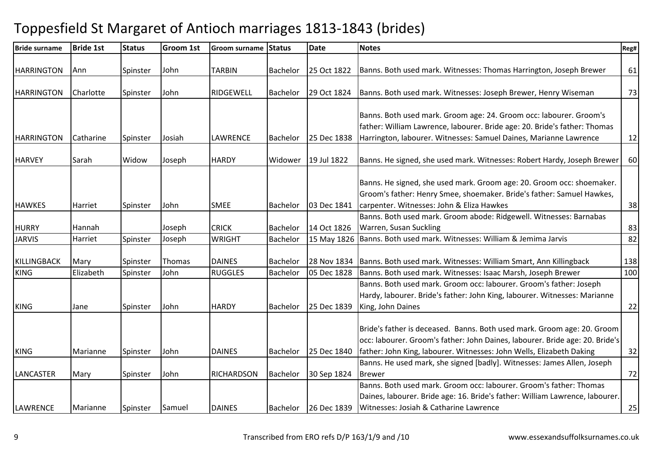| 25 Oct 1822<br>Banns. Both used mark. Witnesses: Thomas Harrington, Joseph Brewer<br>61<br>73<br>29 Oct 1824<br>Banns. Both used mark. Witnesses: Joseph Brewer, Henry Wiseman                                                                       |
|------------------------------------------------------------------------------------------------------------------------------------------------------------------------------------------------------------------------------------------------------|
|                                                                                                                                                                                                                                                      |
|                                                                                                                                                                                                                                                      |
| Banns. Both used mark. Groom age: 24. Groom occ: labourer. Groom's<br>father: William Lawrence, labourer. Bride age: 20. Bride's father: Thomas<br>25 Dec 1838<br>Harrington, labourer. Witnesses: Samuel Daines, Marianne Lawrence<br>12            |
| Banns. He signed, she used mark. Witnesses: Robert Hardy, Joseph Brewer<br>60                                                                                                                                                                        |
| Banns. He signed, she used mark. Groom age: 20. Groom occ: shoemaker.<br>Groom's father: Henry Smee, shoemaker. Bride's father: Samuel Hawkes,<br>carpenter. Witnesses: John & Eliza Hawkes<br>38<br>03 Dec 1841                                     |
| Banns. Both used mark. Groom abode: Ridgewell. Witnesses: Barnabas<br>83<br>Warren, Susan Suckling<br>14 Oct 1826                                                                                                                                    |
| 15 May 1826 Banns. Both used mark. Witnesses: William & Jemima Jarvis<br>82                                                                                                                                                                          |
| 28 Nov 1834<br>Banns. Both used mark. Witnesses: William Smart, Ann Killingback<br>138                                                                                                                                                               |
| Banns. Both used mark. Witnesses: Isaac Marsh, Joseph Brewer<br>100<br>05 Dec 1828                                                                                                                                                                   |
| Banns. Both used mark. Groom occ: labourer. Groom's father: Joseph<br>Hardy, labourer. Bride's father: John King, labourer. Witnesses: Marianne<br>22<br>25 Dec 1839<br>King, John Daines                                                            |
| Bride's father is deceased. Banns. Both used mark. Groom age: 20. Groom<br>occ: labourer. Groom's father: John Daines, labourer. Bride age: 20. Bride's<br>father: John King, labourer. Witnesses: John Wells, Elizabeth Daking<br>32<br>25 Dec 1840 |
| Banns. He used mark, she signed [badly]. Witnesses: James Allen, Joseph                                                                                                                                                                              |
| 30 Sep 1824<br><b>Brewer</b><br>72                                                                                                                                                                                                                   |
| Banns. Both used mark. Groom occ: labourer. Groom's father: Thomas<br>Daines, labourer. Bride age: 16. Bride's father: William Lawrence, labourer.<br>Witnesses: Josiah & Catharine Lawrence<br>25<br>26 Dec 1839                                    |
| 19 Jul 1822                                                                                                                                                                                                                                          |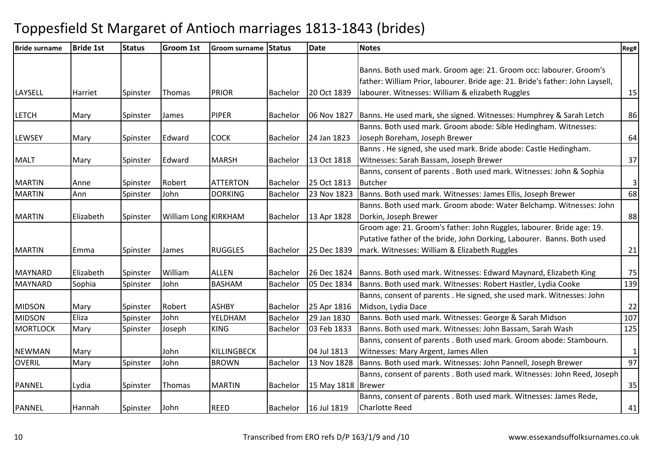| <b>Bride surname</b> | <b>Bride 1st</b> | <b>Status</b> | <b>Groom 1st</b>     | <b>Groom surname</b> | <b>Status</b>   | <b>Date</b>          | <b>Notes</b>                                                                  | Reg#         |
|----------------------|------------------|---------------|----------------------|----------------------|-----------------|----------------------|-------------------------------------------------------------------------------|--------------|
|                      |                  |               |                      |                      |                 |                      |                                                                               |              |
|                      |                  |               |                      |                      |                 |                      | Banns. Both used mark. Groom age: 21. Groom occ: labourer. Groom's            |              |
|                      |                  |               |                      |                      |                 |                      | father: William Prior, labourer. Bride age: 21. Bride's father: John Laysell, |              |
| LAYSELL              | Harriet          | Spinster      | <b>Thomas</b>        | <b>PRIOR</b>         | Bachelor        | 20 Oct 1839          | labourer. Witnesses: William & elizabeth Ruggles                              | 15           |
|                      |                  |               |                      |                      |                 |                      |                                                                               |              |
| <b>LETCH</b>         | Mary             | Spinster      | James                | <b>PIPER</b>         | Bachelor        | 06 Nov 1827          | Banns. He used mark, she signed. Witnesses: Humphrey & Sarah Letch            | 86           |
|                      |                  |               |                      |                      |                 |                      | Banns. Both used mark. Groom abode: Sible Hedingham. Witnesses:               |              |
| <b>LEWSEY</b>        | Mary             | Spinster      | Edward               | <b>COCK</b>          | <b>Bachelor</b> | 24 Jan 1823          | Joseph Boreham, Joseph Brewer                                                 | 64           |
|                      |                  |               |                      |                      |                 |                      | Banns. He signed, she used mark. Bride abode: Castle Hedingham.               |              |
| <b>MALT</b>          | Mary             | Spinster      | Edward               | <b>MARSH</b>         | <b>Bachelor</b> | 13 Oct 1818          | Witnesses: Sarah Bassam, Joseph Brewer                                        | 37           |
|                      |                  |               |                      |                      |                 |                      | Banns, consent of parents . Both used mark. Witnesses: John & Sophia          |              |
| <b>MARTIN</b>        | Anne             | Spinster      | Robert               | <b>ATTERTON</b>      | <b>Bachelor</b> | 25 Oct 1813          | <b>Butcher</b>                                                                | $\mathbf{3}$ |
| <b>MARTIN</b>        | Ann              | Spinster      | John                 | <b>DORKING</b>       | Bachelor        | 23 Nov 1823          | Banns. Both used mark. Witnesses: James Ellis, Joseph Brewer                  | 68           |
|                      |                  |               |                      |                      |                 |                      | Banns. Both used mark. Groom abode: Water Belchamp. Witnesses: John           |              |
| <b>MARTIN</b>        | Elizabeth        | Spinster      | William Long KIRKHAM |                      | Bachelor        | 13 Apr 1828          | Dorkin, Joseph Brewer                                                         | 88           |
|                      |                  |               |                      |                      |                 |                      | Groom age: 21. Groom's father: John Ruggles, labourer. Bride age: 19.         |              |
|                      |                  |               |                      |                      |                 |                      | Putative father of the bride, John Dorking, Labourer. Banns. Both used        |              |
| <b>MARTIN</b>        | Emma             | Spinster      | James                | <b>RUGGLES</b>       | <b>Bachelor</b> | 25 Dec 1839          | mark. Witnesses: William & Elizabeth Ruggles                                  | 21           |
|                      |                  |               |                      |                      |                 |                      |                                                                               |              |
| <b>MAYNARD</b>       | Elizabeth        | Spinster      | William              | <b>ALLEN</b>         | <b>Bachelor</b> | 26 Dec 1824          | Banns. Both used mark. Witnesses: Edward Maynard, Elizabeth King              | 75           |
| MAYNARD              | Sophia           | Spinster      | John                 | <b>BASHAM</b>        | Bachelor        | 05 Dec 1834          | Banns. Both used mark. Witnesses: Robert Hastler, Lydia Cooke                 | 139          |
|                      |                  |               |                      |                      |                 |                      | Banns, consent of parents . He signed, she used mark. Witnesses: John         |              |
| <b>MIDSON</b>        | Mary             | Spinster      | Robert               | <b>ASHBY</b>         | <b>Bachelor</b> | 25 Apr 1816          | Midson, Lydia Dace                                                            | 22           |
| <b>MIDSON</b>        | Eliza            | Spinster      | John                 | YELDHAM              | Bachelor        | 29 Jan 1830          | Banns. Both used mark. Witnesses: George & Sarah Midson                       | 107          |
| <b>MORTLOCK</b>      | Mary             | Spinster      | Joseph               | <b>KING</b>          | Bachelor        | 03 Feb 1833          | Banns. Both used mark. Witnesses: John Bassam, Sarah Wash                     | 125          |
|                      |                  |               |                      |                      |                 |                      | Banns, consent of parents . Both used mark. Groom abode: Stambourn.           |              |
| <b>NEWMAN</b>        | Mary             |               | John                 | <b>KILLINGBECK</b>   |                 | 04 Jul 1813          | Witnesses: Mary Argent, James Allen                                           | $\mathbf{1}$ |
| <b>OVERIL</b>        | Mary             | Spinster      | John                 | <b>BROWN</b>         | Bachelor        | 13 Nov 1828          | Banns. Both used mark. Witnesses: John Pannell, Joseph Brewer                 | 97           |
|                      |                  |               |                      |                      |                 |                      | Banns, consent of parents . Both used mark. Witnesses: John Reed, Joseph      |              |
| <b>PANNEL</b>        | Lydia            | Spinster      | Thomas               | <b>MARTIN</b>        | <b>Bachelor</b> | 15 May 1818   Brewer |                                                                               | 35           |
|                      |                  |               |                      |                      |                 |                      | Banns, consent of parents . Both used mark. Witnesses: James Rede,            |              |
| PANNEL               | Hannah           | Spinster      | John                 | <b>REED</b>          | Bachelor        | 16 Jul 1819          | <b>Charlotte Reed</b>                                                         | 41           |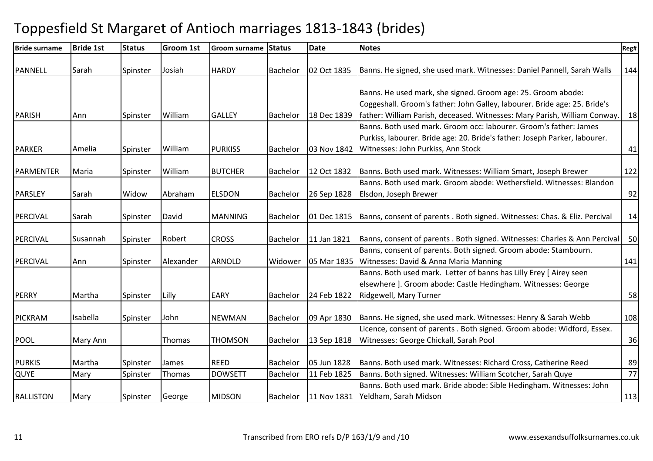| <b>Bride surname</b> | <b>Bride 1st</b> | <b>Status</b> | <b>Groom 1st</b> | <b>Groom surname</b> | <b>Status</b> | <b>Date</b> | <b>Notes</b>                                                                                                                                                                                                           | Reg# |
|----------------------|------------------|---------------|------------------|----------------------|---------------|-------------|------------------------------------------------------------------------------------------------------------------------------------------------------------------------------------------------------------------------|------|
| <b>PANNELL</b>       | Sarah            | Spinster      | Josiah           | <b>HARDY</b>         | Bachelor      | 02 Oct 1835 | Banns. He signed, she used mark. Witnesses: Daniel Pannell, Sarah Walls                                                                                                                                                | 144  |
| <b>PARISH</b>        | Ann              | Spinster      | William          | <b>GALLEY</b>        | Bachelor      | 18 Dec 1839 | Banns. He used mark, she signed. Groom age: 25. Groom abode:<br>Coggeshall. Groom's father: John Galley, labourer. Bride age: 25. Bride's<br>father: William Parish, deceased. Witnesses: Mary Parish, William Conway. | 18   |
| <b>PARKER</b>        | Amelia           | Spinster      | William          | <b>PURKISS</b>       | Bachelor      | 03 Nov 1842 | Banns. Both used mark. Groom occ: labourer. Groom's father: James<br>Purkiss, labourer. Bride age: 20. Bride's father: Joseph Parker, labourer.<br>Witnesses: John Purkiss, Ann Stock                                  | 41   |
| <b>PARMENTER</b>     | Maria            | Spinster      | William          | <b>BUTCHER</b>       | Bachelor      | 12 Oct 1832 | Banns. Both used mark. Witnesses: William Smart, Joseph Brewer                                                                                                                                                         | 122  |
| <b>PARSLEY</b>       | Sarah            | Widow         | Abraham          | <b>ELSDON</b>        | Bachelor      | 26 Sep 1828 | Banns. Both used mark. Groom abode: Wethersfield. Witnesses: Blandon<br>Elsdon, Joseph Brewer                                                                                                                          | 92   |
| PERCIVAL             | Sarah            | Spinster      | David            | <b>MANNING</b>       | Bachelor      | 01 Dec 1815 | Banns, consent of parents . Both signed. Witnesses: Chas. & Eliz. Percival                                                                                                                                             | 14   |
| PERCIVAL             | Susannah         | Spinster      | Robert           | <b>CROSS</b>         | Bachelor      | 11 Jan 1821 | Banns, consent of parents . Both signed. Witnesses: Charles & Ann Percival                                                                                                                                             | 50   |
| PERCIVAL             | Ann              | Spinster      | Alexander        | <b>ARNOLD</b>        | Widower       | 05 Mar 1835 | Banns, consent of parents. Both signed. Groom abode: Stambourn.<br>Witnesses: David & Anna Maria Manning                                                                                                               | 141  |
| <b>PERRY</b>         | Martha           | Spinster      | Lilly            | <b>EARY</b>          | Bachelor      | 24 Feb 1822 | Banns. Both used mark. Letter of banns has Lilly Erey [ Airey seen<br>elsewhere ]. Groom abode: Castle Hedingham. Witnesses: George<br>Ridgewell, Mary Turner                                                          | 58   |
| <b>PICKRAM</b>       | Isabella         | Spinster      | John             | <b>NEWMAN</b>        | Bachelor      | 09 Apr 1830 | Banns. He signed, she used mark. Witnesses: Henry & Sarah Webb                                                                                                                                                         | 108  |
| <b>POOL</b>          | Mary Ann         |               | Thomas           | <b>THOMSON</b>       | Bachelor      | 13 Sep 1818 | Licence, consent of parents . Both signed. Groom abode: Widford, Essex.<br>Witnesses: George Chickall, Sarah Pool                                                                                                      | 36   |
| <b>PURKIS</b>        | Martha           | Spinster      | James            | <b>REED</b>          | Bachelor      | 05 Jun 1828 | Banns. Both used mark. Witnesses: Richard Cross, Catherine Reed                                                                                                                                                        | 89   |
| QUYE                 | Mary             | Spinster      | Thomas           | <b>DOWSETT</b>       | Bachelor      | 11 Feb 1825 | Banns. Both signed. Witnesses: William Scotcher, Sarah Quye                                                                                                                                                            | 77   |
| <b>RALLISTON</b>     | Mary             | Spinster      | George           | <b>MIDSON</b>        | Bachelor      | 11 Nov 1831 | Banns. Both used mark. Bride abode: Sible Hedingham. Witnesses: John<br>Yeldham, Sarah Midson                                                                                                                          | 113  |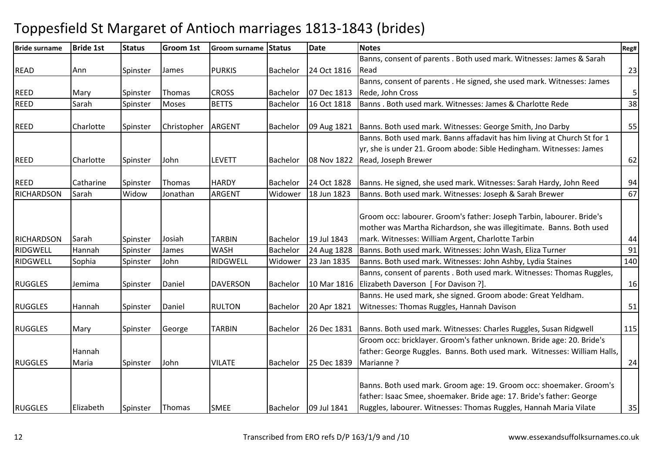| <b>Bride surname</b> | <b>Bride 1st</b> | <b>Status</b> | <b>Groom 1st</b> | <b>Groom surname</b> | <b>Status</b>   | <b>Date</b> | <b>Notes</b>                                                                                                                                                                                                     | Reg#           |
|----------------------|------------------|---------------|------------------|----------------------|-----------------|-------------|------------------------------------------------------------------------------------------------------------------------------------------------------------------------------------------------------------------|----------------|
|                      |                  |               |                  |                      |                 |             | Banns, consent of parents . Both used mark. Witnesses: James & Sarah                                                                                                                                             |                |
| <b>READ</b>          | Ann              | Spinster      | James            | <b>PURKIS</b>        | <b>Bachelor</b> | 24 Oct 1816 | Read                                                                                                                                                                                                             | 23             |
|                      |                  |               |                  |                      |                 |             | Banns, consent of parents . He signed, she used mark. Witnesses: James                                                                                                                                           |                |
| <b>REED</b>          | Mary             | Spinster      | <b>Thomas</b>    | <b>CROSS</b>         | <b>Bachelor</b> | 07 Dec 1813 | Rede, John Cross                                                                                                                                                                                                 | $\overline{5}$ |
| <b>REED</b>          | Sarah            | Spinster      | Moses            | <b>BETTS</b>         | Bachelor        | 16 Oct 1818 | Banns. Both used mark. Witnesses: James & Charlotte Rede                                                                                                                                                         | 38             |
| <b>REED</b>          | Charlotte        | Spinster      | Christopher      | <b>ARGENT</b>        | Bachelor        | 09 Aug 1821 | Banns. Both used mark. Witnesses: George Smith, Jno Darby                                                                                                                                                        | 55             |
|                      |                  |               |                  |                      |                 |             | Banns. Both used mark. Banns affadavit has him living at Church St for 1                                                                                                                                         |                |
|                      |                  |               |                  |                      |                 |             | yr, she is under 21. Groom abode: Sible Hedingham. Witnesses: James                                                                                                                                              |                |
| <b>REED</b>          | Charlotte        | Spinster      | John             | <b>LEVETT</b>        | <b>Bachelor</b> | 08 Nov 1822 | Read, Joseph Brewer                                                                                                                                                                                              | 62             |
| <b>REED</b>          | Catharine        | Spinster      | Thomas           | <b>HARDY</b>         | Bachelor        | 24 Oct 1828 | Banns. He signed, she used mark. Witnesses: Sarah Hardy, John Reed                                                                                                                                               | 94             |
| RICHARDSON           | Sarah            | Widow         | Jonathan         | <b>ARGENT</b>        | Widower         | 18 Jun 1823 | Banns. Both used mark. Witnesses: Joseph & Sarah Brewer                                                                                                                                                          | 67             |
|                      |                  |               |                  |                      |                 |             | Groom occ: labourer. Groom's father: Joseph Tarbin, labourer. Bride's<br>mother was Martha Richardson, she was illegitimate. Banns. Both used                                                                    |                |
| <b>RICHARDSON</b>    | Sarah            | Spinster      | Josiah           | <b>TARBIN</b>        | Bachelor        | 19 Jul 1843 | mark. Witnesses: William Argent, Charlotte Tarbin                                                                                                                                                                | 44             |
| <b>RIDGWELL</b>      | Hannah           | Spinster      | James            | <b>WASH</b>          | Bachelor        | 24 Aug 1828 | Banns. Both used mark. Witnesses: John Wash, Eliza Turner                                                                                                                                                        | 91             |
| <b>RIDGWELL</b>      | Sophia           | Spinster      | John             | RIDGWELL             | Widower         | 23 Jan 1835 | Banns. Both used mark. Witnesses: John Ashby, Lydia Staines                                                                                                                                                      | 140            |
| <b>RUGGLES</b>       | Jemima           | Spinster      | Daniel           | <b>DAVERSON</b>      | Bachelor        | 10 Mar 1816 | Banns, consent of parents . Both used mark. Witnesses: Thomas Ruggles,<br>Elizabeth Daverson [ For Davison ?].                                                                                                   | 16             |
|                      |                  |               |                  | <b>RULTON</b>        | Bachelor        |             | Banns. He used mark, she signed. Groom abode: Great Yeldham.                                                                                                                                                     |                |
| <b>RUGGLES</b>       | Hannah           | Spinster      | Daniel           |                      |                 | 20 Apr 1821 | Witnesses: Thomas Ruggles, Hannah Davison                                                                                                                                                                        | 51             |
| <b>RUGGLES</b>       | Mary             | Spinster      | George           | <b>TARBIN</b>        | Bachelor        | 26 Dec 1831 | Banns. Both used mark. Witnesses: Charles Ruggles, Susan Ridgwell                                                                                                                                                | 115            |
| <b>RUGGLES</b>       | Hannah<br>Maria  | Spinster      | John             | <b>VILATE</b>        | Bachelor        | 25 Dec 1839 | Groom occ: bricklayer. Groom's father unknown. Bride age: 20. Bride's<br>father: George Ruggles. Banns. Both used mark. Witnesses: William Halls,<br>Marianne?                                                   | 24             |
|                      |                  |               |                  |                      |                 |             |                                                                                                                                                                                                                  |                |
| <b>RUGGLES</b>       | Elizabeth        | Spinster      | Thomas           | <b>SMEE</b>          | Bachelor        | 09 Jul 1841 | Banns. Both used mark. Groom age: 19. Groom occ: shoemaker. Groom's<br>father: Isaac Smee, shoemaker. Bride age: 17. Bride's father: George<br>Ruggles, labourer. Witnesses: Thomas Ruggles, Hannah Maria Vilate | 35             |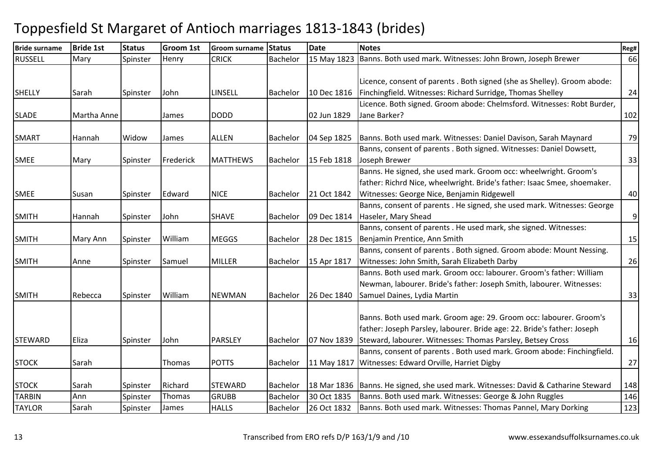| <b>Bride surname</b> | <b>Bride 1st</b> | <b>Status</b> | <b>Groom 1st</b> | <b>Groom surname</b> | <b>Status</b>   | <b>Date</b> | <b>Notes</b>                                                                                                                                                                                                | Reg#             |
|----------------------|------------------|---------------|------------------|----------------------|-----------------|-------------|-------------------------------------------------------------------------------------------------------------------------------------------------------------------------------------------------------------|------------------|
| <b>RUSSELL</b>       | Mary             | Spinster      | Henry            | <b>CRICK</b>         | Bachelor        | 15 May 1823 | Banns. Both used mark. Witnesses: John Brown, Joseph Brewer                                                                                                                                                 | 66               |
| <b>SHELLY</b>        | Sarah            | Spinster      | John             | LINSELL              | Bachelor        | 10 Dec 1816 | Licence, consent of parents . Both signed (she as Shelley). Groom abode:<br>Finchingfield. Witnesses: Richard Surridge, Thomas Shelley                                                                      | 24               |
| <b>SLADE</b>         | Martha Anne      |               | James            | <b>DODD</b>          |                 | 02 Jun 1829 | Licence. Both signed. Groom abode: Chelmsford. Witnesses: Robt Burder,<br>Jane Barker?                                                                                                                      | 102              |
| <b>SMART</b>         | Hannah           | Widow         | James            | <b>ALLEN</b>         | <b>Bachelor</b> | 04 Sep 1825 | Banns. Both used mark. Witnesses: Daniel Davison, Sarah Maynard                                                                                                                                             | 79               |
| <b>SMEE</b>          | Mary             | Spinster      | Frederick        | <b>MATTHEWS</b>      | <b>Bachelor</b> | 15 Feb 1818 | Banns, consent of parents . Both signed. Witnesses: Daniel Dowsett,<br>Joseph Brewer                                                                                                                        | 33               |
| <b>SMEE</b>          | Susan            | Spinster      | Edward           | <b>NICE</b>          | <b>Bachelor</b> | 21 Oct 1842 | Banns. He signed, she used mark. Groom occ: wheelwright. Groom's<br>father: Richrd Nice, wheelwright. Bride's father: Isaac Smee, shoemaker.<br>Witnesses: George Nice, Benjamin Ridgewell                  | 40               |
| <b>SMITH</b>         | Hannah           | Spinster      | John             | <b>SHAVE</b>         | <b>Bachelor</b> | 09 Dec 1814 | Banns, consent of parents . He signed, she used mark. Witnesses: George<br>Haseler, Mary Shead                                                                                                              | $\boldsymbol{9}$ |
| <b>SMITH</b>         | Mary Ann         | Spinster      | William          | <b>MEGGS</b>         | <b>Bachelor</b> | 28 Dec 1815 | Banns, consent of parents . He used mark, she signed. Witnesses:<br>Benjamin Prentice, Ann Smith                                                                                                            | 15               |
| <b>SMITH</b>         | Anne             | Spinster      | Samuel           | <b>MILLER</b>        | <b>Bachelor</b> | 15 Apr 1817 | Banns, consent of parents . Both signed. Groom abode: Mount Nessing.<br>Witnesses: John Smith, Sarah Elizabeth Darby                                                                                        | 26               |
| <b>SMITH</b>         | Rebecca          | Spinster      | William          | <b>NEWMAN</b>        | <b>Bachelor</b> | 26 Dec 1840 | Banns. Both used mark. Groom occ: labourer. Groom's father: William<br>Newman, labourer. Bride's father: Joseph Smith, labourer. Witnesses:<br>Samuel Daines, Lydia Martin                                  | 33               |
| <b>STEWARD</b>       | Eliza            | Spinster      | John             | <b>PARSLEY</b>       | Bachelor        | 07 Nov 1839 | Banns. Both used mark. Groom age: 29. Groom occ: labourer. Groom's<br>father: Joseph Parsley, labourer. Bride age: 22. Bride's father: Joseph<br>Steward, labourer. Witnesses: Thomas Parsley, Betsey Cross | 16               |
| <b>STOCK</b>         | Sarah            |               | <b>Thomas</b>    | <b>POTTS</b>         | Bachelor        |             | Banns, consent of parents . Both used mark. Groom abode: Finchingfield.<br>11 May 1817   Witnesses: Edward Orville, Harriet Digby                                                                           | 27               |
| <b>STOCK</b>         | Sarah            | Spinster      | Richard          | <b>STEWARD</b>       | <b>Bachelor</b> |             | 18 Mar 1836   Banns. He signed, she used mark. Witnesses: David & Catharine Steward                                                                                                                         | 148              |
| <b>TARBIN</b>        | Ann              | Spinster      | <b>Thomas</b>    | <b>GRUBB</b>         | Bachelor        | 30 Oct 1835 | Banns. Both used mark. Witnesses: George & John Ruggles                                                                                                                                                     | 146              |
| <b>TAYLOR</b>        | Sarah            | Spinster      | James            | <b>HALLS</b>         | Bachelor        | 26 Oct 1832 | Banns. Both used mark. Witnesses: Thomas Pannel, Mary Dorking                                                                                                                                               | 123              |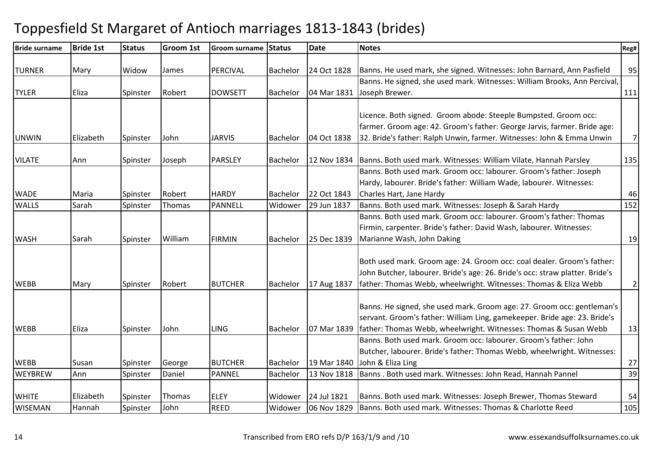| <b>Bride surname</b> | <b>Bride 1st</b> | <b>Status</b> | <b>Groom 1st</b> | <b>Groom surname</b> | <b>Status</b>   | <b>Date</b> | <b>Notes</b>                                                                   | Reg#            |
|----------------------|------------------|---------------|------------------|----------------------|-----------------|-------------|--------------------------------------------------------------------------------|-----------------|
|                      |                  |               |                  |                      |                 |             |                                                                                |                 |
| <b>TURNER</b>        | Mary             | Widow         | James            | <b>PERCIVAL</b>      | Bachelor        | 24 Oct 1828 | Banns. He used mark, she signed. Witnesses: John Barnard, Ann Pasfield         | 95              |
|                      |                  |               |                  |                      |                 |             | Banns. He signed, she used mark. Witnesses: William Brooks, Ann Percival,      |                 |
| <b>TYLER</b>         | Eliza            | Spinster      | Robert           | <b>DOWSETT</b>       | Bachelor        | 04 Mar 1831 | Joseph Brewer.                                                                 | 111             |
|                      |                  |               |                  |                      |                 |             | Licence. Both signed. Groom abode: Steeple Bumpsted. Groom occ:                |                 |
|                      |                  |               |                  |                      |                 |             | farmer. Groom age: 42. Groom's father: George Jarvis, farmer. Bride age:       |                 |
| <b>UNWIN</b>         | Elizabeth        | Spinster      | John             | <b>JARVIS</b>        | Bachelor        | 04 Oct 1838 | 32. Bride's father: Ralph Unwin, farmer. Witnesses: John & Emma Unwin          | $7 \frac{1}{2}$ |
| <b>VILATE</b>        | Ann              | Spinster      | Joseph           | <b>PARSLEY</b>       | <b>Bachelor</b> |             | 12 Nov 1834   Banns. Both used mark. Witnesses: William Vilate, Hannah Parsley | 135             |
|                      |                  |               |                  |                      |                 |             | Banns. Both used mark. Groom occ: labourer. Groom's father: Joseph             |                 |
|                      |                  |               |                  |                      |                 |             | Hardy, labourer. Bride's father: William Wade, labourer. Witnesses:            |                 |
| <b>WADE</b>          | Maria            | Spinster      | Robert           | <b>HARDY</b>         | Bachelor        | 22 Oct 1843 | Charles Hart, Jane Hardy                                                       | 46              |
| <b>WALLS</b>         | Sarah            | Spinster      | Thomas           | <b>PANNELL</b>       | Widower         | 29 Jun 1837 | Banns. Both used mark. Witnesses: Joseph & Sarah Hardy                         | 152             |
|                      |                  |               |                  |                      |                 |             | Banns. Both used mark. Groom occ: labourer. Groom's father: Thomas             |                 |
|                      |                  |               |                  |                      |                 |             | Firmin, carpenter. Bride's father: David Wash, labourer. Witnesses:            |                 |
| <b>WASH</b>          | Sarah            | Spinster      | William          | <b>FIRMIN</b>        | Bachelor        | 25 Dec 1839 | Marianne Wash, John Daking                                                     | 19              |
|                      |                  |               |                  |                      |                 |             |                                                                                |                 |
|                      |                  |               |                  |                      |                 |             | Both used mark. Groom age: 24. Groom occ: coal dealer. Groom's father:         |                 |
|                      |                  |               |                  |                      |                 |             | John Butcher, labourer. Bride's age: 26. Bride's occ: straw platter. Bride's   |                 |
| <b>WEBB</b>          | Mary             | Spinster      | Robert           | <b>BUTCHER</b>       | Bachelor        | 17 Aug 1837 | father: Thomas Webb, wheelwright. Witnesses: Thomas & Eliza Webb               | $\overline{2}$  |
|                      |                  |               |                  |                      |                 |             |                                                                                |                 |
|                      |                  |               |                  |                      |                 |             | Banns. He signed, she used mark. Groom age: 27. Groom occ: gentleman's         |                 |
|                      |                  |               |                  |                      |                 |             | servant. Groom's father: William Ling, gamekeeper. Bride age: 23. Bride's      |                 |
| <b>WEBB</b>          | Eliza            | Spinster      | John             | <b>LING</b>          | Bachelor        |             | 07 Mar 1839   father: Thomas Webb, wheelwright. Witnesses: Thomas & Susan Webb | 13              |
|                      |                  |               |                  |                      |                 |             | Banns. Both used mark. Groom occ: labourer. Groom's father: John               |                 |
|                      |                  |               |                  |                      |                 |             | Butcher, labourer. Bride's father: Thomas Webb, wheelwright. Witnesses:        |                 |
| <b>WEBB</b>          | Susan            | Spinster      | George           | <b>BUTCHER</b>       | <b>Bachelor</b> | 19 Mar 1840 | John & Eliza Ling                                                              | 27              |
| <b>WEYBREW</b>       | Ann              | Spinster      | Daniel           | <b>PANNEL</b>        | <b>Bachelor</b> | 13 Nov 1818 | Banns. Both used mark. Witnesses: John Read, Hannah Pannel                     | 39              |
|                      |                  |               |                  |                      |                 |             |                                                                                |                 |
| <b>WHITE</b>         | Elizabeth        | Spinster      | Thomas           | <b>ELEY</b>          | Widower         | 24 Jul 1821 | Banns. Both used mark. Witnesses: Joseph Brewer, Thomas Steward                | 54              |
| WISEMAN              | Hannah           | Spinster      | John             | <b>REED</b>          | Widower         | 06 Nov 1829 | Banns. Both used mark. Witnesses: Thomas & Charlotte Reed                      | 105             |
|                      |                  |               |                  |                      |                 |             |                                                                                |                 |